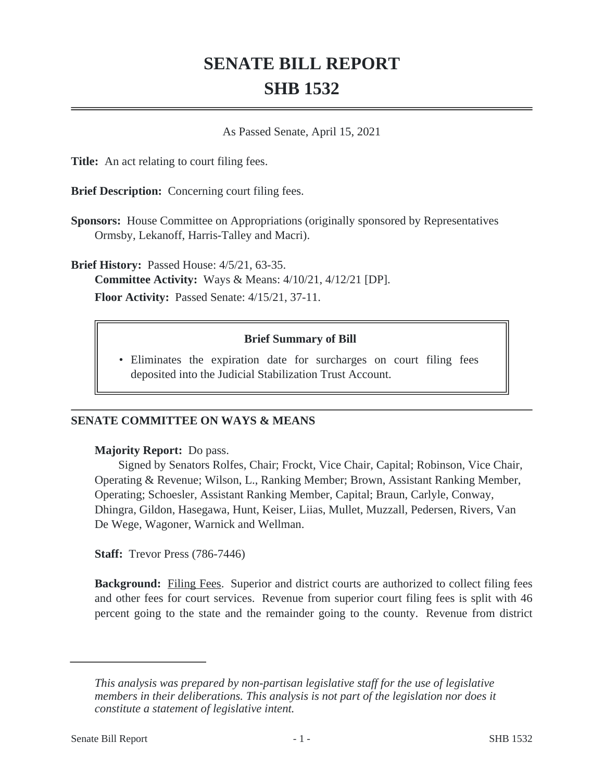# **SENATE BILL REPORT SHB 1532**

As Passed Senate, April 15, 2021

**Title:** An act relating to court filing fees.

**Brief Description:** Concerning court filing fees.

**Sponsors:** House Committee on Appropriations (originally sponsored by Representatives Ormsby, Lekanoff, Harris-Talley and Macri).

**Brief History:** Passed House: 4/5/21, 63-35. **Committee Activity:** Ways & Means: 4/10/21, 4/12/21 [DP]. **Floor Activity:** Passed Senate: 4/15/21, 37-11.

# **Brief Summary of Bill**

Eliminates the expiration date for surcharges on court filing fees • deposited into the Judicial Stabilization Trust Account.

# **SENATE COMMITTEE ON WAYS & MEANS**

### **Majority Report:** Do pass.

Signed by Senators Rolfes, Chair; Frockt, Vice Chair, Capital; Robinson, Vice Chair, Operating & Revenue; Wilson, L., Ranking Member; Brown, Assistant Ranking Member, Operating; Schoesler, Assistant Ranking Member, Capital; Braun, Carlyle, Conway, Dhingra, Gildon, Hasegawa, Hunt, Keiser, Liias, Mullet, Muzzall, Pedersen, Rivers, Van De Wege, Wagoner, Warnick and Wellman.

**Staff:** Trevor Press (786-7446)

**Background:** Filing Fees. Superior and district courts are authorized to collect filing fees and other fees for court services. Revenue from superior court filing fees is split with 46 percent going to the state and the remainder going to the county. Revenue from district

*This analysis was prepared by non-partisan legislative staff for the use of legislative members in their deliberations. This analysis is not part of the legislation nor does it constitute a statement of legislative intent.*